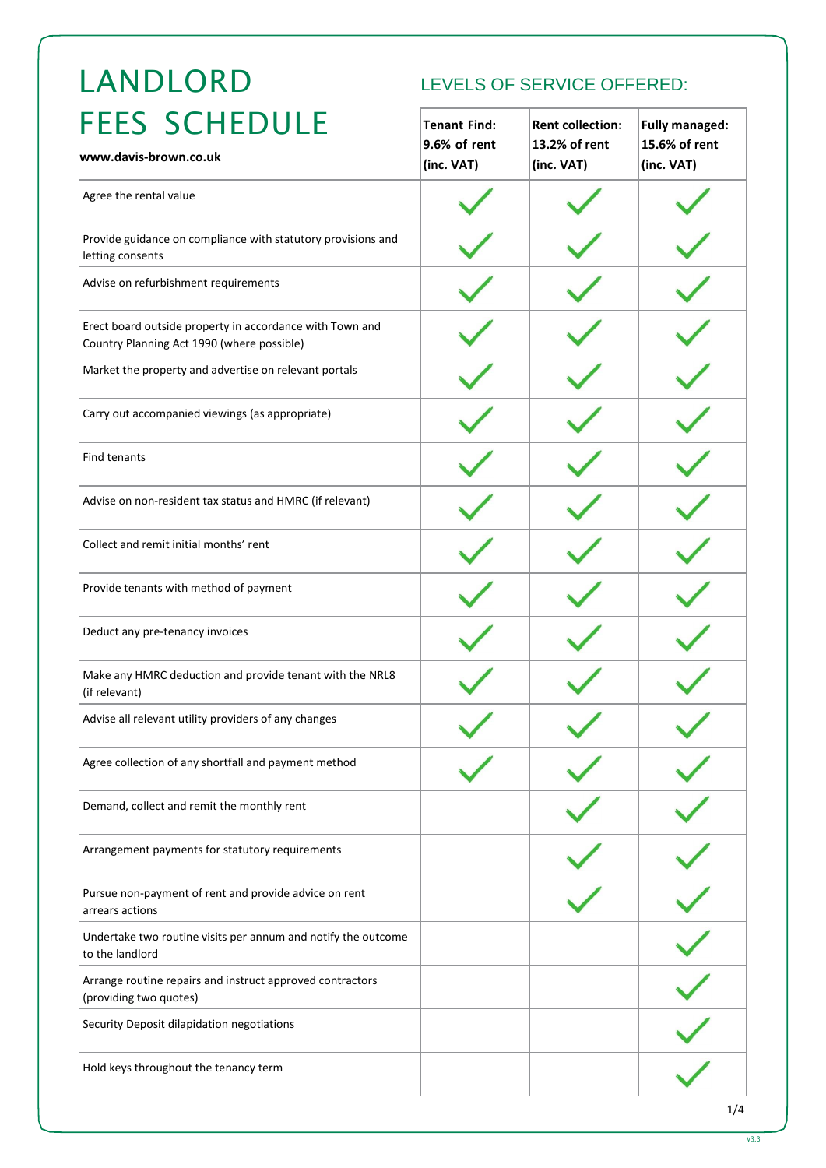# LANDLORD

# LEVELS OF SERVICE OFFERED:

| <b>FEES SCHEDULE</b><br>www.davis-brown.co.uk                                                          | <b>Tenant Find:</b><br>9.6% of rent<br>(inc. VAT) | <b>Rent collection:</b><br>13.2% of rent<br>(inc. VAT) | <b>Fully managed:</b><br>15.6% of rent<br>(inc. VAT) |
|--------------------------------------------------------------------------------------------------------|---------------------------------------------------|--------------------------------------------------------|------------------------------------------------------|
| Agree the rental value                                                                                 |                                                   |                                                        |                                                      |
| Provide guidance on compliance with statutory provisions and<br>letting consents                       |                                                   |                                                        |                                                      |
| Advise on refurbishment requirements                                                                   |                                                   |                                                        |                                                      |
| Erect board outside property in accordance with Town and<br>Country Planning Act 1990 (where possible) |                                                   |                                                        |                                                      |
| Market the property and advertise on relevant portals                                                  |                                                   |                                                        |                                                      |
| Carry out accompanied viewings (as appropriate)                                                        |                                                   |                                                        |                                                      |
| Find tenants                                                                                           |                                                   |                                                        |                                                      |
| Advise on non-resident tax status and HMRC (if relevant)                                               |                                                   |                                                        |                                                      |
| Collect and remit initial months' rent                                                                 |                                                   |                                                        |                                                      |
| Provide tenants with method of payment                                                                 |                                                   |                                                        |                                                      |
| Deduct any pre-tenancy invoices                                                                        |                                                   |                                                        |                                                      |
| Make any HMRC deduction and provide tenant with the NRL8<br>(if relevant)                              |                                                   |                                                        |                                                      |
| Advise all relevant utility providers of any changes                                                   |                                                   |                                                        |                                                      |
| Agree collection of any shortfall and payment method                                                   |                                                   |                                                        |                                                      |
| Demand, collect and remit the monthly rent                                                             |                                                   |                                                        |                                                      |
| Arrangement payments for statutory requirements                                                        |                                                   |                                                        |                                                      |
| Pursue non-payment of rent and provide advice on rent<br>arrears actions                               |                                                   |                                                        |                                                      |
| Undertake two routine visits per annum and notify the outcome<br>to the landlord                       |                                                   |                                                        |                                                      |
| Arrange routine repairs and instruct approved contractors<br>(providing two quotes)                    |                                                   |                                                        |                                                      |
| Security Deposit dilapidation negotiations                                                             |                                                   |                                                        |                                                      |
| Hold keys throughout the tenancy term                                                                  |                                                   |                                                        |                                                      |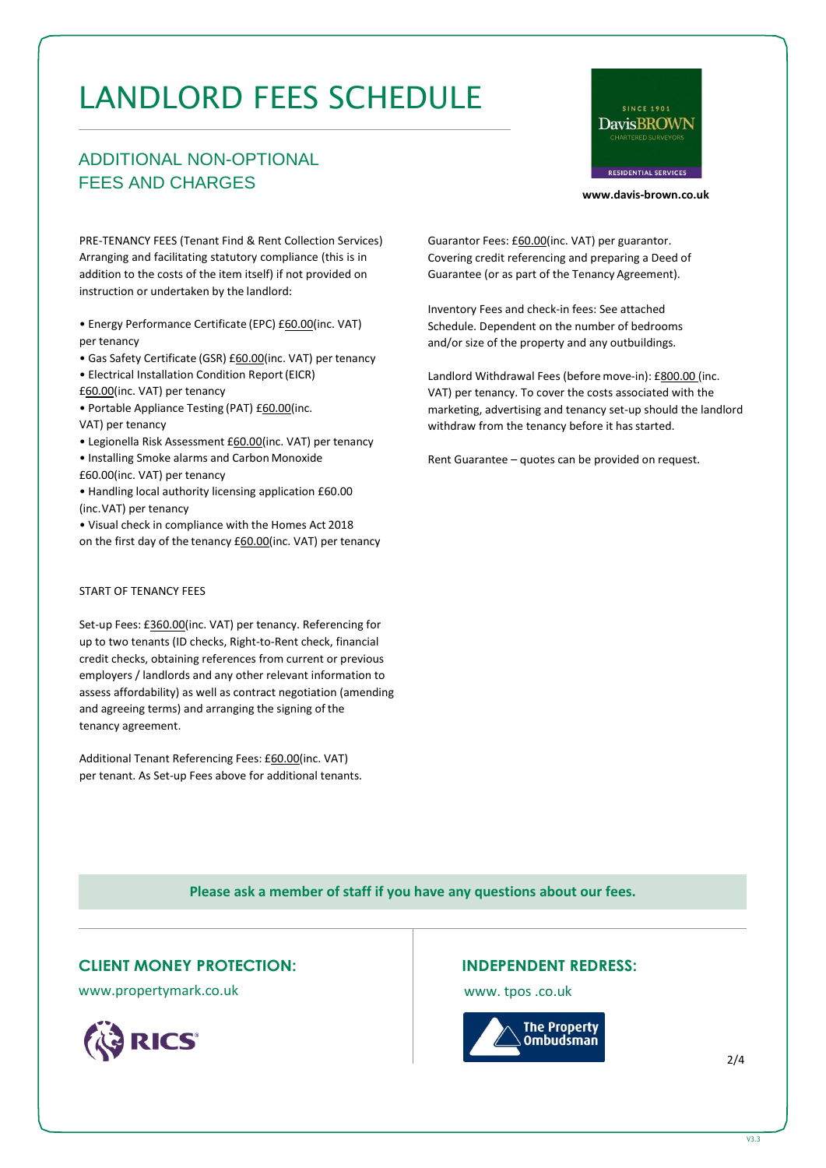# LANDLORD FEES SCHEDULE

# ADDITIONAL NON-OPTIONAL FEES AND CHARGES



**[www.davis-brown.co.uk](http://www.davis-brown.co.uk/)**

PRE-TENANCY FEES (Tenant Find & Rent Collection Services) Arranging and facilitating statutory compliance (this is in addition to the costs of the item itself) if not provided on instruction or undertaken by the landlord:

• Energy Performance Certificate (EPC) £60.00(inc. VAT) per tenancy

• Gas Safety Certificate (GSR) £60.00(inc. VAT) per tenancy

• Electrical Installation Condition Report(EICR)

£60.00(inc. VAT) per tenancy

• Portable Appliance Testing (PAT) £60.00(inc. VAT) per tenancy

• Legionella Risk Assessment £60.00(inc. VAT) per tenancy

• Installing Smoke alarms and Carbon Monoxide £60.00(inc. VAT) per tenancy

• Handling local authority licensing application £60.00 (inc.VAT) per tenancy

• Visual check in compliance with the Homes Act 2018 on the first day of the tenancy £60.00(inc. VAT) per tenancy

#### START OF TENANCY FEES

Set-up Fees: £360.00(inc. VAT) per tenancy. Referencing for up to two tenants (ID checks, Right-to-Rent check, financial credit checks, obtaining references from current or previous employers / landlords and any other relevant information to assess affordability) as well as contract negotiation (amending and agreeing terms) and arranging the signing of the tenancy agreement.

Additional Tenant Referencing Fees: £60.00(inc. VAT) per tenant. As Set-up Fees above for additional tenants. Guarantor Fees: £60.00(inc. VAT) per guarantor. Covering credit referencing and preparing a Deed of Guarantee (or as part of the Tenancy Agreement).

Inventory Fees and check-in fees: See attached Schedule. Dependent on the number of bedrooms and/or size of the property and any outbuildings.

Landlord Withdrawal Fees (before move-in): £800.00 (inc. VAT) per tenancy. To cover the costs associated with the marketing, advertising and tenancy set-up should the landlord withdraw from the tenancy before it has started.

Rent Guarantee – quotes can be provided on request.

**Please ask a member of staff if you have any questions about our fees.**

### **CLIENT MONEY PROTECTION:**

[www.propertymark.co.uk](http://www.propertymark.co.uk/)



## **INDEPENDENT REDRESS:**

[www. t](http://www/)pos .co.uk



2/4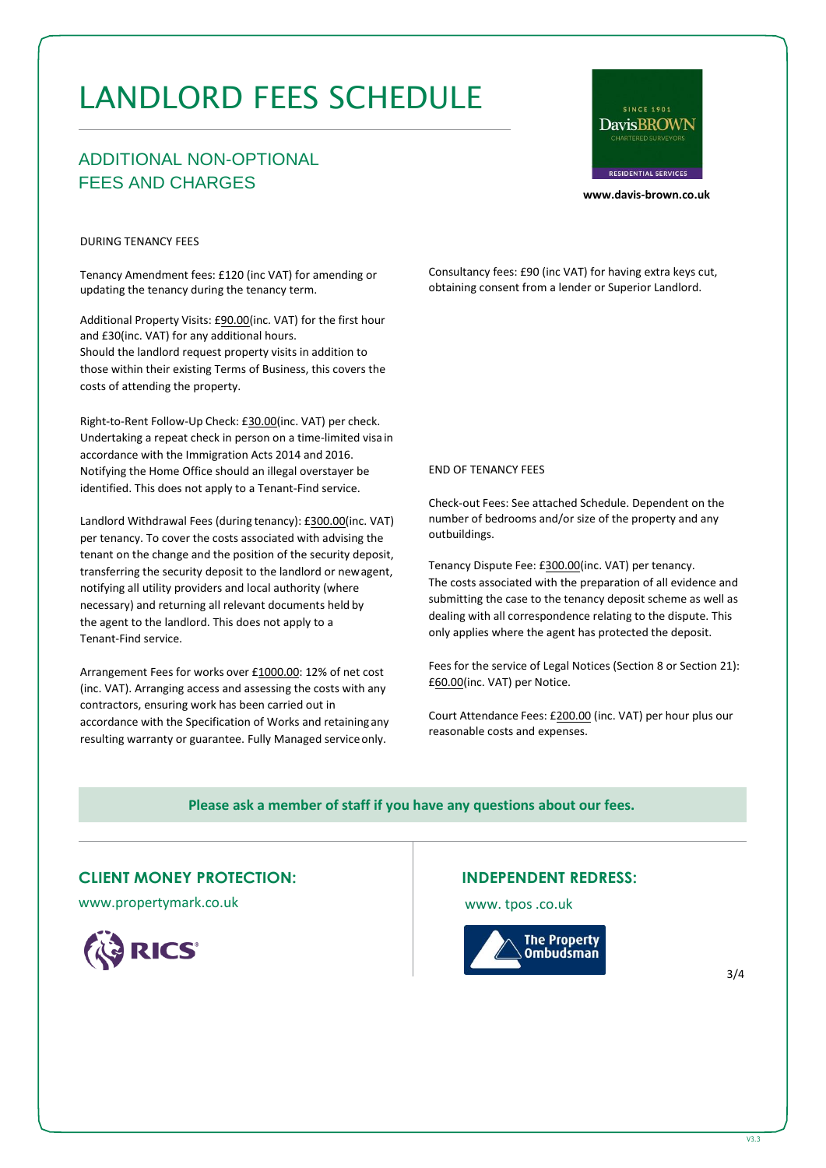# LANDLORD FEES SCHEDULE

# ADDITIONAL NON-OPTIONAL FEES AND CHARGES



**[www.davis-brown.co.uk](http://www.davis-brown.co.uk/)**

#### DURING TENANCY FEES

Tenancy Amendment fees: £120 (inc VAT) for amending or updating the tenancy during the tenancy term.

Additional Property Visits: £90.00(inc. VAT) for the first hour and £30(inc. VAT) for any additional hours. Should the landlord request property visits in addition to those within their existing Terms of Business, this covers the costs of attending the property.

Right-to-Rent Follow-Up Check: £30.00(inc. VAT) per check. Undertaking a repeat check in person on a time-limited visa in accordance with the Immigration Acts 2014 and 2016. Notifying the Home Office should an illegal overstayer be identified. This does not apply to a Tenant-Find service.

Landlord Withdrawal Fees (during tenancy): £300.00(inc. VAT) per tenancy. To cover the costs associated with advising the tenant on the change and the position of the security deposit, transferring the security deposit to the landlord or newagent, notifying all utility providers and local authority (where necessary) and returning all relevant documents held by the agent to the landlord. This does not apply to a Tenant-Find service.

Arrangement Fees for works over £1000.00: 12% of net cost (inc. VAT). Arranging access and assessing the costs with any contractors, ensuring work has been carried out in accordance with the Specification of Works and retainingany resulting warranty or guarantee. Fully Managed serviceonly.

Consultancy fees: £90 (inc VAT) for having extra keys cut, obtaining consent from a lender or Superior Landlord.

#### END OF TENANCY FEES

Check-out Fees: See attached Schedule. Dependent on the number of bedrooms and/or size of the property and any outbuildings.

Tenancy Dispute Fee: £300.00(inc. VAT) per tenancy. The costs associated with the preparation of all evidence and submitting the case to the tenancy deposit scheme as well as dealing with all correspondence relating to the dispute. This only applies where the agent has protected the deposit.

Fees for the service of Legal Notices (Section 8 or Section 21): £60.00(inc. VAT) per Notice.

Court Attendance Fees: £200.00 (inc. VAT) per hour plus our reasonable costs and expenses.

#### **Please ask a member of staff if you have any questions about our fees.**

#### **CLIENT MONEY PROTECTION:**

[www.propertymark.co.uk](http://www.propertymark.co.uk/)



#### **INDEPENDENT REDRESS:**

[www. t](http://www/)pos .co.uk



3/4